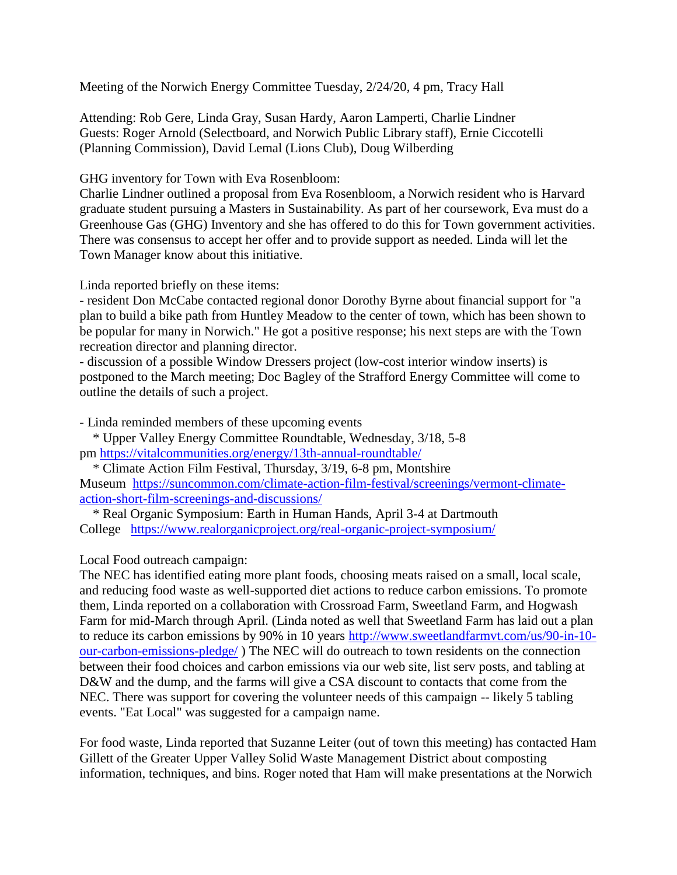Meeting of the Norwich Energy Committee Tuesday, 2/24/20, 4 pm, Tracy Hall

Attending: Rob Gere, Linda Gray, Susan Hardy, Aaron Lamperti, Charlie Lindner Guests: Roger Arnold (Selectboard, and Norwich Public Library staff), Ernie Ciccotelli (Planning Commission), David Lemal (Lions Club), Doug Wilberding

GHG inventory for Town with Eva Rosenbloom:

Charlie Lindner outlined a proposal from Eva Rosenbloom, a Norwich resident who is Harvard graduate student pursuing a Masters in Sustainability. As part of her coursework, Eva must do a Greenhouse Gas (GHG) Inventory and she has offered to do this for Town government activities. There was consensus to accept her offer and to provide support as needed. Linda will let the Town Manager know about this initiative.

Linda reported briefly on these items:

- resident Don McCabe contacted regional donor Dorothy Byrne about financial support for "a plan to build a bike path from Huntley Meadow to the center of town, which has been shown to be popular for many in Norwich." He got a positive response; his next steps are with the Town recreation director and planning director.

- discussion of a possible Window Dressers project (low-cost interior window inserts) is postponed to the March meeting; Doc Bagley of the Strafford Energy Committee will come to outline the details of such a project.

- Linda reminded members of these upcoming events

\* Upper Valley Energy Committee Roundtable, Wednesday, 3/18, 5-8 pm <https://vitalcommunities.org/energy/13th-annual-roundtable/>

\* Climate Action Film Festival, Thursday, 3/19, 6-8 pm, Montshire Museum [https://suncommon.com/climate-action-film-festival/screenings/vermont-climate](https://suncommon.com/climate-action-film-festival/screenings/vermont-climate-action-short-film-screenings-and-discussions/)[action-short-film-screenings-and-discussions/](https://suncommon.com/climate-action-film-festival/screenings/vermont-climate-action-short-film-screenings-and-discussions/)

\* Real Organic Symposium: Earth in Human Hands, April 3-4 at Dartmouth College <https://www.realorganicproject.org/real-organic-project-symposium/>

Local Food outreach campaign:

The NEC has identified eating more plant foods, choosing meats raised on a small, local scale, and reducing food waste as well-supported diet actions to reduce carbon emissions. To promote them, Linda reported on a collaboration with Crossroad Farm, Sweetland Farm, and Hogwash Farm for mid-March through April. (Linda noted as well that Sweetland Farm has laid out a plan to reduce its carbon emissions by 90% in 10 years [http://www.sweetlandfarmvt.com/us/90-in-10](http://www.sweetlandfarmvt.com/us/90-in-10-our-carbon-emissions-pledge/) [our-carbon-emissions-pledge/](http://www.sweetlandfarmvt.com/us/90-in-10-our-carbon-emissions-pledge/) ) The NEC will do outreach to town residents on the connection between their food choices and carbon emissions via our web site, list serv posts, and tabling at D&W and the dump, and the farms will give a CSA discount to contacts that come from the NEC. There was support for covering the volunteer needs of this campaign -- likely 5 tabling events. "Eat Local" was suggested for a campaign name.

For food waste, Linda reported that Suzanne Leiter (out of town this meeting) has contacted Ham Gillett of the Greater Upper Valley Solid Waste Management District about composting information, techniques, and bins. Roger noted that Ham will make presentations at the Norwich